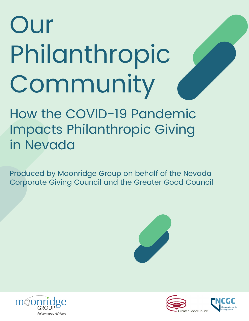# Our Philanthropic Community

How the COVID-19 Pandemic Impacts Philanthropic Giving in Nevada

Produced by Moonridge Group on behalf of the Nevada Corporate Giving Council and the Greater Good Council





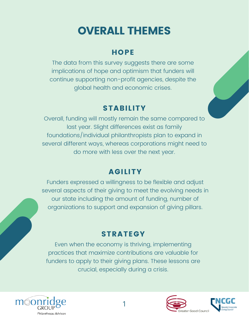# OVERALL THEMES

#### **HOPE**

The data from this survey suggests there are some implications of hope and optimism that funders will continue supporting non-profit agencies, despite the global health and economic crises.

## **STABILITY**

Overall, funding will mostly remain the same compared to last year. Slight differences exist as family foundations/individual philanthropists plan to expand in several different ways, whereas corporations might need to do more with less over the next year.

## AGILITY

Funders expressed a willingness to be flexible and adjust several aspects of their giving to meet the evolving needs in our state including the amount of funding, number of organizations to support and expansion of giving pillars.

#### **STRATEGY**

Even when the economy is thriving, implementing practices that maximize contributions are valuable for funders to apply to their giving plans. These lessons are crucial, especially during a crisis.



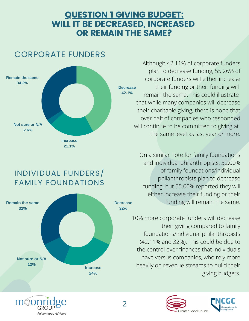#### QUESTION 1 GIVING BUDGET: WILL IT BE DECREASED, INCREASED OR REMAIN THE SAME?



**Decrease 42.1%** Although 42.11% of corporate funders plan to decrease funding, 55.26% of corporate funders will either increase their funding or their funding will remain the same. This could illustrate that while many companies will decrease their charitable giving, there is hope that over half of companies who responded will continue to be committed to giving at the same level as last year or more.

> On a similar note for family foundations and individual philanthropists, 32.00% of family foundations/individual philanthropists plan to decrease funding, but 55.00% reported they will either increase their funding or their funding will remain the same.

10% more corporate funders will decrease their giving compared to family foundations/individual philanthropists (42.11% and 32%). This could be due to the control over finances that individuals have versus companies, who rely more heavily on revenue streams to build their giving budgets.



#### INDIVIDUAL FUNDERS/ FAMILY FOUNDATIONS



# CORPORATE FUNDERS

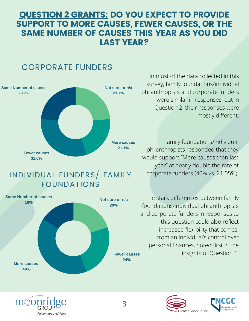#### QUESTION 2 GRANTS: DO YOU EXPECT TO PROVIDE SUPPORT TO MORE CAUSES, FEWER CAUSES, OR THE SAME NUMBER OF CAUSES THIS YEAR AS YOU DID LAST YEAR?

#### CORPORATE FUNDERS



In most of the data collected in this survey, family foundations/individual philanthropists and corporate funders were similar in responses, but in Question 2, their responses were mostly different.

Family foundations/individual philanthropists responded that they would support "More causes than last year" at nearly double the rate of corporate funders (40% vs. 21.05%).

The stark differences between family foundations/individual philanthropists and corporate funders in responses to this question could also reflect increased flexibility that comes from an individual's control over personal finances, noted first in the insights of Question 1.





#### INDIVIDUAL FUNDERS/ FAMILY FOUNDATIONS

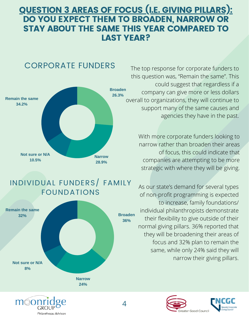#### QUESTION 3 AREAS OF FOCUS (I.E. GIVING PILLARS): DO YOU EXPECT THEM TO BROADEN, NARROW OR STAY ABOUT THE SAME THIS YEAR COMPARED TO LAST YEAR?

 $\varDelta$ 

#### CORPORATE FUNDERS



#### INDIVIDUAL FUNDERS/ FAMILY FOUNDATIONS





The top response for corporate funders to this question was, "Remain the same". This could suggest that regardless if a company can give more or less dollars overall to organizations, they will continue to support many of the same causes and agencies they have in the past.

> With more corporate funders looking to narrow rather than broaden their areas of focus, this could indicate that companies are attempting to be more strategic with where they will be giving.

As our state's demand for several types of non-profit programming is expected to increase, family foundations/ individual philanthropists demonstrate their flexibility to give outside of their normal giving pillars. 36% reported that they will be broadening their areas of focus and 32% plan to remain the same, while only 24% said they will narrow their giving pillars.

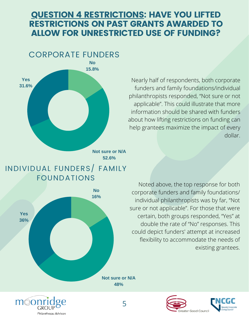#### QUESTION 4 RESTRICTIONS: HAVE YOU LIFTED RESTRICTIONS ON PAST GRANTS AWARDED TO ALLOW FOR UNRESTRICTED USE OF FUNDING?



Nearly half of respondents, both corporate funders and family foundations/individual philanthropists responded, "Not sure or not applicable". This could illustrate that more information should be shared with funders about how lifting restrictions on funding can help grantees maximize the impact of every dollar.

**Not sure or N/A 52.6%**

#### INDIVIDUAL FUNDERS/ FAMILY FOUNDATIONS



móon GROUP Philanthropu Advisors

Noted above, the top response for both corporate funders and family foundations/ individual philanthropists was by far, "Not sure or not applicable". For those that were certain, both groups responded, "Yes" at double the rate of "No" responses. This could depict funders' attempt at increased flexibility to accommodate the needs of existing grantees.

**Not sure or N/A 48%**

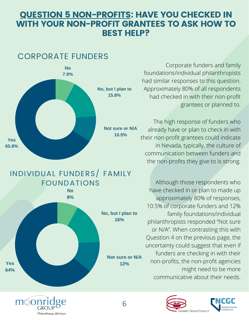#### **QUESTION 5 NON-PROFITS: HAVE YOU CHECKED IN** WITH YOUR NON-PROFIT GRANTEES TO ASK HOW TO BEST HELP?

#### CORPORATE FUNDERS



# INDIVIDUAL FUNDERS/ FAMILY FOUNDATIONS



moor

GROUP

**Philanthropy Advisors** 

Corporate funders and family foundations/individual philanthropists had similar responses to this question. Approximately 80% of all respondents had checked in with their non-profit grantees or planned to.

The high response of funders who already have or plan to check in with their non-profit grantees could indicate in Nevada, typically, the culture of communication between funders and the non-profits they give to is strong.

Although those respondents who have checked in or plan to made up approximately 80% of responses, 10.5% of corporate funders and 12% family foundations/individual philanthropists responded "Not sure or N/A". When contrasting this with Question 4 on the previous page, the uncertainty could suggest that even if funders are checking in with their non-profits, the non-profit agencies might need to be more communicative about their needs.



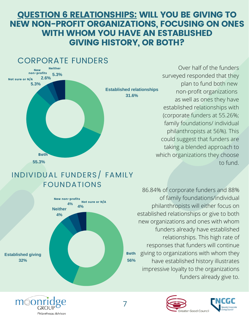#### QUESTION 6 RELATIONSHIPS: WILL YOU BE GIVING TO NEW NON-PROFIT ORGANIZATIONS, FOCUSING ON ONES WITH WHOM YOU HAVE AN ESTABLISHED GIVING HISTORY, OR BOTH?



#### INDIVIDUAL FUNDERS/ FAMILY FOUNDATIONS



moon

GROUP

Philanthropu Advisors

Over half of the funders surveyed responded that they plan to fund both new non-profit organizations as well as ones they have established relationships with (corporate funders at 55.26%; family foundations/ individual philanthropists at 56%). This could suggest that funders are taking a blended approach to which organizations they choose to fund.

**56%** 86.84% of corporate funders and 88% of family foundations/individual philanthropists will either focus on established relationships or give to both new organizations and ones with whom funders already have established relationships. This high rate of responses that funders will continue giving to organizations with whom they have established history illustrates impressive loyalty to the organizations funders already give to. Both